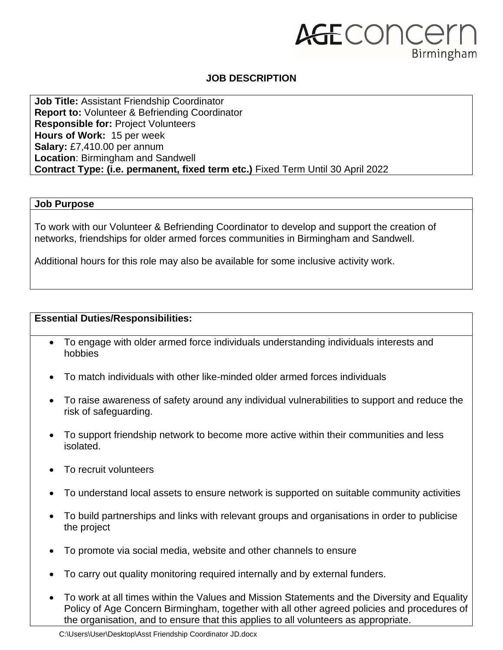# AGECONCELL Birmingham

### **JOB DESCRIPTION**

**Job Title:** Assistant Friendship Coordinator **Report to:** Volunteer & Befriending Coordinator **Responsible for:** Project Volunteers **Hours of Work:** 15 per week **Salary:** £7,410.00 per annum **Location**: Birmingham and Sandwell **Contract Type: (i.e. permanent, fixed term etc.)** Fixed Term Until 30 April 2022

#### **Job Purpose**

To work with our Volunteer & Befriending Coordinator to develop and support the creation of networks, friendships for older armed forces communities in Birmingham and Sandwell.

Additional hours for this role may also be available for some inclusive activity work.

#### **Essential Duties/Responsibilities:**

- To engage with older armed force individuals understanding individuals interests and hobbies
- To match individuals with other like-minded older armed forces individuals
- To raise awareness of safety around any individual vulnerabilities to support and reduce the risk of safeguarding.
- To support friendship network to become more active within their communities and less isolated.
- To recruit volunteers
- To understand local assets to ensure network is supported on suitable community activities
- To build partnerships and links with relevant groups and organisations in order to publicise the project
- To promote via social media, website and other channels to ensure
- To carry out quality monitoring required internally and by external funders.
- To work at all times within the Values and Mission Statements and the Diversity and Equality Policy of Age Concern Birmingham, together with all other agreed policies and procedures of the organisation, and to ensure that this applies to all volunteers as appropriate.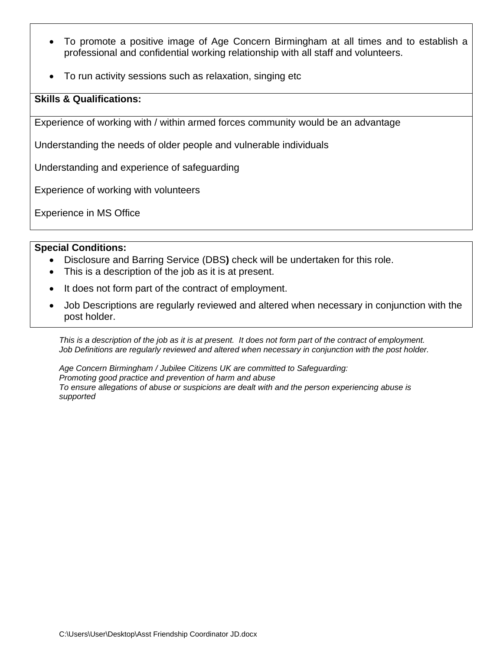- To promote a positive image of Age Concern Birmingham at all times and to establish a professional and confidential working relationship with all staff and volunteers.
- To run activity sessions such as relaxation, singing etc

#### **Skills & Qualifications:**

Experience of working with / within armed forces community would be an advantage

Understanding the needs of older people and vulnerable individuals

Understanding and experience of safeguarding

Experience of working with volunteers

Experience in MS Office

#### **Special Conditions:**

- Disclosure and Barring Service (DBS**)** check will be undertaken for this role.
- This is a description of the job as it is at present.
- It does not form part of the contract of employment.
- Job Descriptions are regularly reviewed and altered when necessary in conjunction with the post holder.

*This is a description of the job as it is at present. It does not form part of the contract of employment. Job Definitions are regularly reviewed and altered when necessary in conjunction with the post holder.*

*Age Concern Birmingham / Jubilee Citizens UK are committed to Safeguarding: Promoting good practice and prevention of harm and abuse To ensure allegations of abuse or suspicions are dealt with and the person experiencing abuse is supported*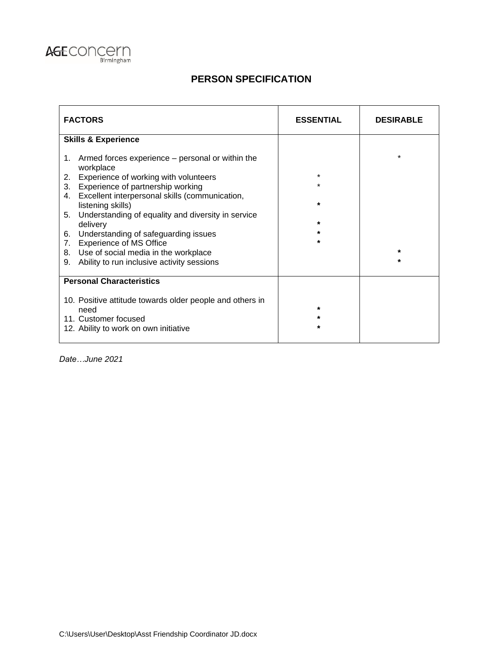

## **PERSON SPECIFICATION**

| <b>FACTORS</b>                                                            | <b>ESSENTIAL</b> | <b>DESIRABLE</b> |
|---------------------------------------------------------------------------|------------------|------------------|
| <b>Skills &amp; Experience</b>                                            |                  |                  |
| Armed forces experience – personal or within the<br>1.<br>workplace       |                  | $\star$          |
| Experience of working with volunteers<br>2.                               | $\star$          |                  |
| Experience of partnership working<br>3.                                   | $\star$          |                  |
| Excellent interpersonal skills (communication,<br>4.<br>listening skills) | $\star$          |                  |
| Understanding of equality and diversity in service<br>5.<br>delivery      | $\star$          |                  |
| Understanding of safeguarding issues<br>6.                                | $\star$          |                  |
| <b>Experience of MS Office</b><br>7.                                      | $\star$          |                  |
| 8. Use of social media in the workplace                                   |                  | $\star$          |
| Ability to run inclusive activity sessions<br>9.                          |                  | $\star$          |
| <b>Personal Characteristics</b>                                           |                  |                  |
| 10. Positive attitude towards older people and others in<br>need          | $\star$          |                  |
| 11. Customer focused                                                      | $\star$          |                  |
| 12. Ability to work on own initiative                                     | $\star$          |                  |

*Date…June 2021*